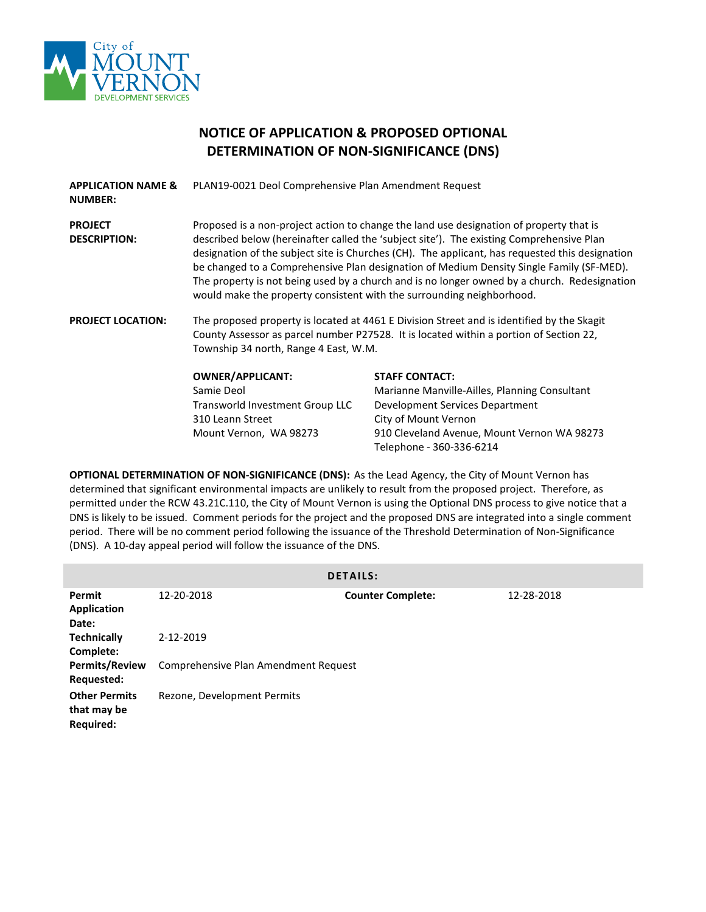

## **NOTICE OF APPLICATION & PROPOSED OPTIONAL DETERMINATION OF NON-SIGNIFICANCE (DNS)**

| <b>APPLICATION NAME &amp;</b><br><b>NUMBER:</b> | PLAN19-0021 Deol Comprehensive Plan Amendment Request                                                                                                                                                                                                                                                                                                                                                                                                                                                                                                       |                                                                                                                                                                                  |  |
|-------------------------------------------------|-------------------------------------------------------------------------------------------------------------------------------------------------------------------------------------------------------------------------------------------------------------------------------------------------------------------------------------------------------------------------------------------------------------------------------------------------------------------------------------------------------------------------------------------------------------|----------------------------------------------------------------------------------------------------------------------------------------------------------------------------------|--|
| <b>PROJECT</b><br><b>DESCRIPTION:</b>           | Proposed is a non-project action to change the land use designation of property that is<br>described below (hereinafter called the 'subject site'). The existing Comprehensive Plan<br>designation of the subject site is Churches (CH). The applicant, has requested this designation<br>be changed to a Comprehensive Plan designation of Medium Density Single Family (SF-MED).<br>The property is not being used by a church and is no longer owned by a church. Redesignation<br>would make the property consistent with the surrounding neighborhood. |                                                                                                                                                                                  |  |
| <b>PROJECT LOCATION:</b>                        | The proposed property is located at 4461 E Division Street and is identified by the Skagit<br>County Assessor as parcel number P27528. It is located within a portion of Section 22,<br>Township 34 north, Range 4 East, W.M.                                                                                                                                                                                                                                                                                                                               |                                                                                                                                                                                  |  |
|                                                 | <b>OWNER/APPLICANT:</b><br>Samie Deol<br>Transworld Investment Group LLC<br>310 Leann Street<br>Mount Vernon, WA 98273                                                                                                                                                                                                                                                                                                                                                                                                                                      | <b>STAFF CONTACT:</b><br>Marianne Manville-Ailles, Planning Consultant<br>Development Services Department<br>City of Mount Vernon<br>910 Cleveland Avenue, Mount Vernon WA 98273 |  |

**OPTIONAL DETERMINATION OF NON-SIGNIFICANCE (DNS):** As the Lead Agency, the City of Mount Vernon has determined that significant environmental impacts are unlikely to result from the proposed project. Therefore, as permitted under the RCW 43.21C.110, the City of Mount Vernon is using the Optional DNS process to give notice that a DNS is likely to be issued. Comment periods for the project and the proposed DNS are integrated into a single comment period. There will be no comment period following the issuance of the Threshold Determination of Non-Significance (DNS). A 10-day appeal period will follow the issuance of the DNS.

Telephone - 360-336-6214

| <b>DETAILS:</b>                                         |                                      |                          |            |  |  |  |  |
|---------------------------------------------------------|--------------------------------------|--------------------------|------------|--|--|--|--|
| Permit<br><b>Application</b><br>Date:                   | 12-20-2018                           | <b>Counter Complete:</b> | 12-28-2018 |  |  |  |  |
| <b>Technically</b><br>Complete:                         | 2-12-2019                            |                          |            |  |  |  |  |
| <b>Permits/Review</b><br>Requested:                     | Comprehensive Plan Amendment Request |                          |            |  |  |  |  |
| <b>Other Permits</b><br>that may be<br><b>Required:</b> | Rezone, Development Permits          |                          |            |  |  |  |  |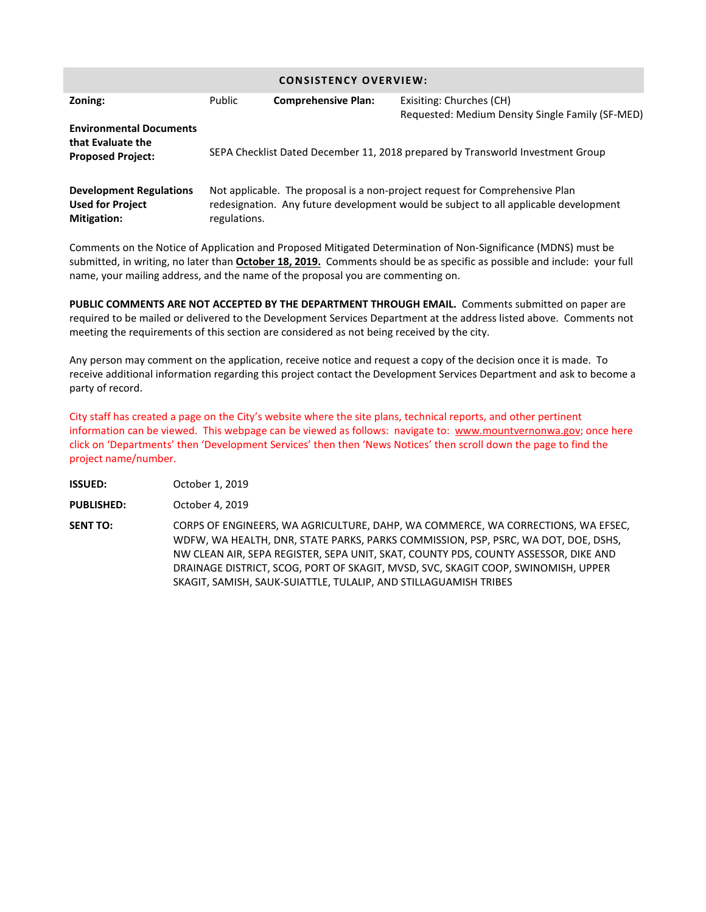| <b>CONSISTENCY OVERVIEW:</b>                                                    |                                                                                |                            |                                                                                                                                                                      |  |  |  |
|---------------------------------------------------------------------------------|--------------------------------------------------------------------------------|----------------------------|----------------------------------------------------------------------------------------------------------------------------------------------------------------------|--|--|--|
| Zoning:                                                                         | Public                                                                         | <b>Comprehensive Plan:</b> | Exisiting: Churches (CH)<br>Requested: Medium Density Single Family (SF-MED)                                                                                         |  |  |  |
| <b>Environmental Documents</b><br>that Evaluate the<br><b>Proposed Project:</b> | SEPA Checklist Dated December 11, 2018 prepared by Transworld Investment Group |                            |                                                                                                                                                                      |  |  |  |
| <b>Development Regulations</b><br><b>Used for Project</b><br><b>Mitigation:</b> | regulations.                                                                   |                            | Not applicable. The proposal is a non-project request for Comprehensive Plan<br>redesignation. Any future development would be subject to all applicable development |  |  |  |

Comments on the Notice of Application and Proposed Mitigated Determination of Non-Significance (MDNS) must be submitted, in writing, no later than **October 18, 2019.** Comments should be as specific as possible and include: your full name, your mailing address, and the name of the proposal you are commenting on.

**PUBLIC COMMENTS ARE NOT ACCEPTED BY THE DEPARTMENT THROUGH EMAIL.** Comments submitted on paper are required to be mailed or delivered to the Development Services Department at the address listed above. Comments not meeting the requirements of this section are considered as not being received by the city.

Any person may comment on the application, receive notice and request a copy of the decision once it is made. To receive additional information regarding this project contact the Development Services Department and ask to become a party of record.

City staff has created a page on the City's website where the site plans, technical reports, and other pertinent information can be viewed. This webpage can be viewed as follows: navigate to: [www.mountvernonwa.gov;](http://www.mountvernonwa.gov/) once here click on 'Departments' then 'Development Services' then then 'News Notices' then scroll down the page to find the project name/number.

- **ISSUED:** October 1, 2019
- **PUBLISHED:** October 4, 2019
- **SENT TO:** CORPS OF ENGINEERS, WA AGRICULTURE, DAHP, WA COMMERCE, WA CORRECTIONS, WA EFSEC, WDFW, WA HEALTH, DNR, STATE PARKS, PARKS COMMISSION, PSP, PSRC, WA DOT, DOE, DSHS, NW CLEAN AIR, SEPA REGISTER, SEPA UNIT, SKAT, COUNTY PDS, COUNTY ASSESSOR, DIKE AND DRAINAGE DISTRICT, SCOG, PORT OF SKAGIT, MVSD, SVC, SKAGIT COOP, SWINOMISH, UPPER SKAGIT, SAMISH, SAUK-SUIATTLE, TULALIP, AND STILLAGUAMISH TRIBES